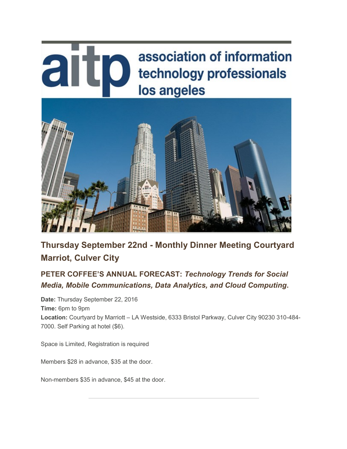# aitp association of information technology professionals los angeles



**Thursday September 22nd - Monthly Dinner Meeting Courtyard Marriot, Culver City**

## **PETER COFFEE'S ANNUAL FORECAST:** *Technology Trends for Social Media, Mobile Communications, Data Analytics, and Cloud Computing***.**

**Date:** Thursday September 22, 2016 **Time:** 6pm to 9pm **Location:** Courtyard by Marriott – LA Westside, 6333 Bristol Parkway, Culver City 90230 310-484- 7000. Self Parking at hotel (\$6).

Space is Limited, Registration is required

Members \$28 in advance, \$35 at the door.

Non-members \$35 in advance, \$45 at the door.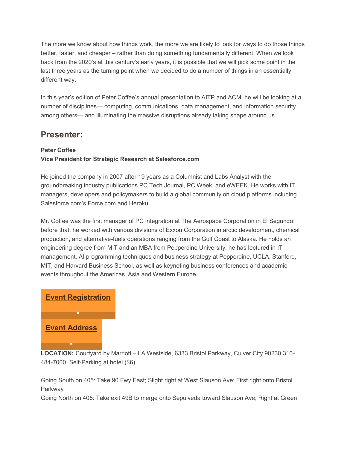The more we know about how things work, the more we are likely to look for ways to do those things better, faster, and cheaper – rather than doing something fundamentally different. When we look back from the 2020's at this century's early years, it is possible that we will pick some point in the last three years as the turning point when we decided to do a number of things in an essentially different way.

In this year's edition of Peter Coffee's annual presentation to AITP and ACM, he will be looking at a number of disciplines— computing, communications, data management, and information security among others— and illuminating the massive disruptions already taking shape around us.

### **Presenter:**

#### **Peter Coffee**

#### **Vice President for Strategic Research at Salesforce.com**

He joined the company in 2007 after 19 years as a Columnist and Labs Analyst with the groundbreaking industry publications PC Tech Journal, PC Week, and eWEEK. He works with IT managers, developers and policymakers to build a global community on cloud platforms including Salesforce.com's Force.com and Heroku.

Mr. Coffee was the first manager of PC integration at The Aerospace Corporation in El Segundo; before that, he worked with various divisions of Exxon Corporation in arctic development, chemical production, and alternative-fuels operations ranging from the Gulf Coast to Alaska. He holds an engineering degree from MIT and an MBA from Pepperdine University; he has lectured in IT management, AI programming techniques and business strategy at Pepperdine, UCLA, Stanford, MIT, and Harvard Business School, as well as keynoting business conferences and academic events throughout the Americas, Asia and Western Europe.

## **[Event Registration](https://sable.godaddy.com/c/50559?id=13344.413.1.af03cb0a93cefe3553722a0749277052)**

### **[Event Address](https://sable.godaddy.com/c/50559?id=13344.414.1.41707071f1136a4aae8414e8bee31091)**

**LOCATION:** Courtyard by Marriott – LA Westside, 6333 Bristol Parkway, Culver City 90230 310- 484-7000. Self-Parking at hotel (\$6).

Going South on 405: Take 90 Fwy East; Slight right at West Slauson Ave; First right onto Bristol **Parkway** 

Going North on 405: Take exit 49B to merge onto Sepulveda toward Slauson Ave; Right at Green